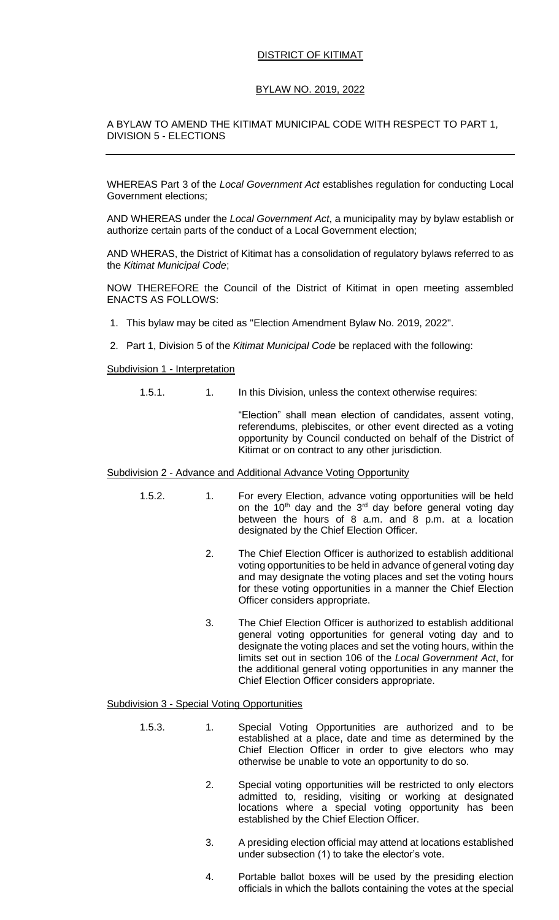### DISTRICT OF KITIMAT

## BYLAW NO. 2019, 2022

### A BYLAW TO AMEND THE KITIMAT MUNICIPAL CODE WITH RESPECT TO PART 1, DIVISION 5 - ELECTIONS

WHEREAS Part 3 of the *Local Government Act* establishes regulation for conducting Local Government elections;

AND WHEREAS under the *Local Government Act*, a municipality may by bylaw establish or authorize certain parts of the conduct of a Local Government election;

AND WHERAS, the District of Kitimat has a consolidation of regulatory bylaws referred to as the *Kitimat Municipal Code*;

NOW THEREFORE the Council of the District of Kitimat in open meeting assembled ENACTS AS FOLLOWS:

- 1. This bylaw may be cited as "Election Amendment Bylaw No. 2019, 2022".
- 2. Part 1, Division 5 of the *Kitimat Municipal Code* be replaced with the following:

#### Subdivision 1 - Interpretation

1.5.1. 1. In this Division, unless the context otherwise requires:

"Election" shall mean election of candidates, assent voting, referendums, plebiscites, or other event directed as a voting opportunity by Council conducted on behalf of the District of Kitimat or on contract to any other jurisdiction.

#### Subdivision 2 - Advance and Additional Advance Voting Opportunity

- 1.5.2. 1. For every Election, advance voting opportunities will be held on the  $10<sup>th</sup>$  day and the  $3<sup>rd</sup>$  day before general voting day between the hours of 8 a.m. and 8 p.m. at a location designated by the Chief Election Officer.
	- 2. The Chief Election Officer is authorized to establish additional voting opportunities to be held in advance of general voting day and may designate the voting places and set the voting hours for these voting opportunities in a manner the Chief Election Officer considers appropriate.
	- 3. The Chief Election Officer is authorized to establish additional general voting opportunities for general voting day and to designate the voting places and set the voting hours, within the limits set out in section 106 of the *Local Government Act*, for the additional general voting opportunities in any manner the Chief Election Officer considers appropriate.

### Subdivision 3 - Special Voting Opportunities

- 1.5.3. 1. Special Voting Opportunities are authorized and to be established at a place, date and time as determined by the Chief Election Officer in order to give electors who may otherwise be unable to vote an opportunity to do so.
	- 2. Special voting opportunities will be restricted to only electors admitted to, residing, visiting or working at designated locations where a special voting opportunity has been established by the Chief Election Officer.
	- 3. A presiding election official may attend at locations established under subsection (1) to take the elector's vote.
	- 4. Portable ballot boxes will be used by the presiding election officials in which the ballots containing the votes at the special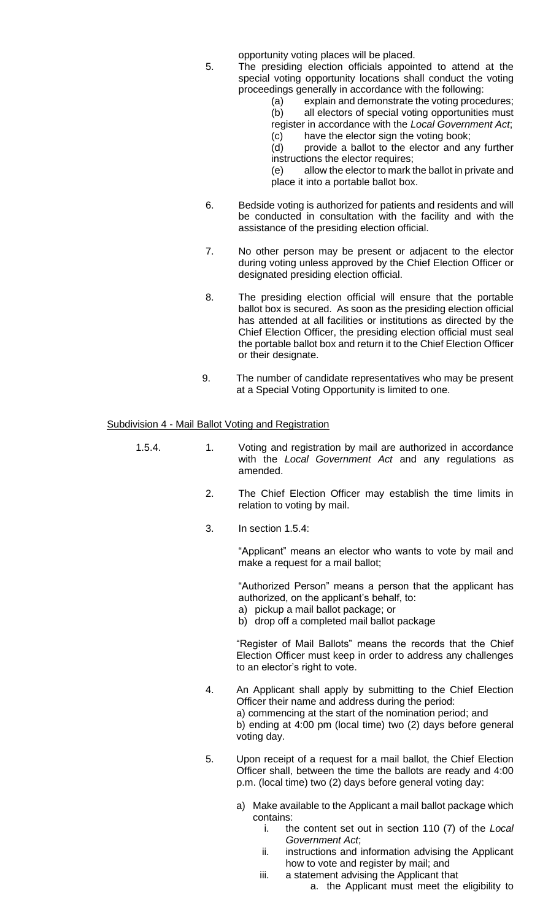opportunity voting places will be placed.

- 5. The presiding election officials appointed to attend at the special voting opportunity locations shall conduct the voting proceedings generally in accordance with the following:
	- (a) explain and demonstrate the voting procedures; (b) all electors of special voting opportunities must register in accordance with the *Local Government Act*;
	- (c) have the elector sign the voting book;
	- (d) provide a ballot to the elector and any further instructions the elector requires;

(e) allow the elector to mark the ballot in private and place it into a portable ballot box.

- 6. Bedside voting is authorized for patients and residents and will be conducted in consultation with the facility and with the assistance of the presiding election official.
- 7. No other person may be present or adjacent to the elector during voting unless approved by the Chief Election Officer or designated presiding election official.
- 8. The presiding election official will ensure that the portable ballot box is secured. As soon as the presiding election official has attended at all facilities or institutions as directed by the Chief Election Officer, the presiding election official must seal the portable ballot box and return it to the Chief Election Officer or their designate.
- 9. The number of candidate representatives who may be present at a Special Voting Opportunity is limited to one.

#### Subdivision 4 - Mail Ballot Voting and Registration

- 1.5.4. 1. Voting and registration by mail are authorized in accordance with the *Local Government Act* and any regulations as amended.
	- 2. The Chief Election Officer may establish the time limits in relation to voting by mail.
	- 3. In section 1.5.4:

"Applicant" means an elector who wants to vote by mail and make a request for a mail ballot;

"Authorized Person" means a person that the applicant has authorized, on the applicant's behalf, to:

a) pickup a mail ballot package; or

b) drop off a completed mail ballot package

"Register of Mail Ballots" means the records that the Chief Election Officer must keep in order to address any challenges to an elector's right to vote.

- 4. An Applicant shall apply by submitting to the Chief Election Officer their name and address during the period: a) commencing at the start of the nomination period; and b) ending at 4:00 pm (local time) two (2) days before general voting day.
- 5. Upon receipt of a request for a mail ballot, the Chief Election Officer shall, between the time the ballots are ready and 4:00 p.m. (local time) two (2) days before general voting day:
	- a) Make available to the Applicant a mail ballot package which contains:
		- i. the content set out in section 110 (7) of the *Local Government Act*;
		- ii. instructions and information advising the Applicant how to vote and register by mail; and
		- iii. a statement advising the Applicant that
			- a. the Applicant must meet the eligibility to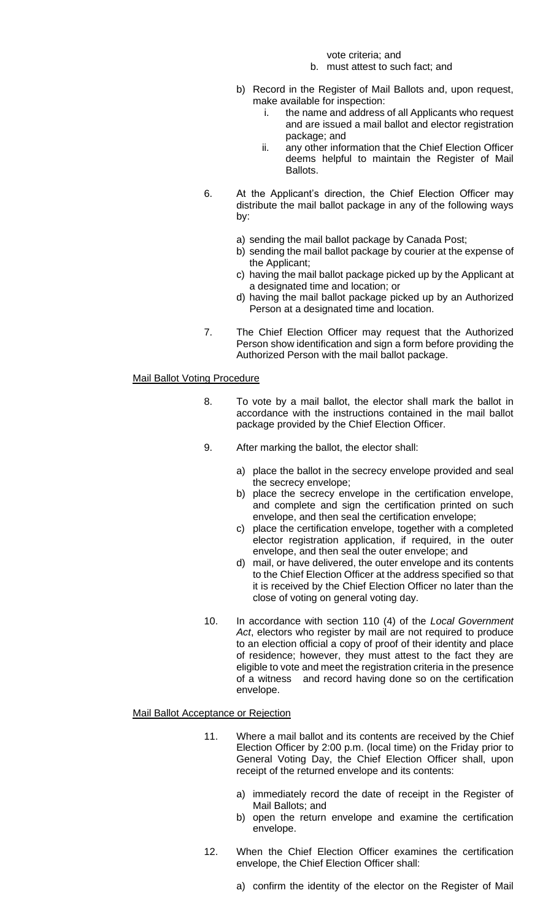vote criteria; and

- b. must attest to such fact; and
- b) Record in the Register of Mail Ballots and, upon request, make available for inspection:
	- i. the name and address of all Applicants who request and are issued a mail ballot and elector registration package; and
	- ii. any other information that the Chief Election Officer deems helpful to maintain the Register of Mail Ballots.
- 6. At the Applicant's direction, the Chief Election Officer may distribute the mail ballot package in any of the following ways by:
	- a) sending the mail ballot package by Canada Post;
	- b) sending the mail ballot package by courier at the expense of the Applicant;
	- c) having the mail ballot package picked up by the Applicant at a designated time and location; or
	- d) having the mail ballot package picked up by an Authorized Person at a designated time and location.
- 7. The Chief Election Officer may request that the Authorized Person show identification and sign a form before providing the Authorized Person with the mail ballot package.

# Mail Ballot Voting Procedure

- 8. To vote by a mail ballot, the elector shall mark the ballot in accordance with the instructions contained in the mail ballot package provided by the Chief Election Officer.
- 9. After marking the ballot, the elector shall:
	- a) place the ballot in the secrecy envelope provided and seal the secrecy envelope;
	- b) place the secrecy envelope in the certification envelope, and complete and sign the certification printed on such envelope, and then seal the certification envelope;
	- c) place the certification envelope, together with a completed elector registration application, if required, in the outer envelope, and then seal the outer envelope; and
	- d) mail, or have delivered, the outer envelope and its contents to the Chief Election Officer at the address specified so that it is received by the Chief Election Officer no later than the close of voting on general voting day.
- 10. In accordance with section 110 (4) of the *Local Government Act*, electors who register by mail are not required to produce to an election official a copy of proof of their identity and place of residence; however, they must attest to the fact they are eligible to vote and meet the registration criteria in the presence of a witness and record having done so on the certification envelope.

### Mail Ballot Acceptance or Rejection

- 11. Where a mail ballot and its contents are received by the Chief Election Officer by 2:00 p.m. (local time) on the Friday prior to General Voting Day, the Chief Election Officer shall, upon receipt of the returned envelope and its contents:
	- a) immediately record the date of receipt in the Register of Mail Ballots; and
	- b) open the return envelope and examine the certification envelope.
- 12. When the Chief Election Officer examines the certification envelope, the Chief Election Officer shall:
	- a) confirm the identity of the elector on the Register of Mail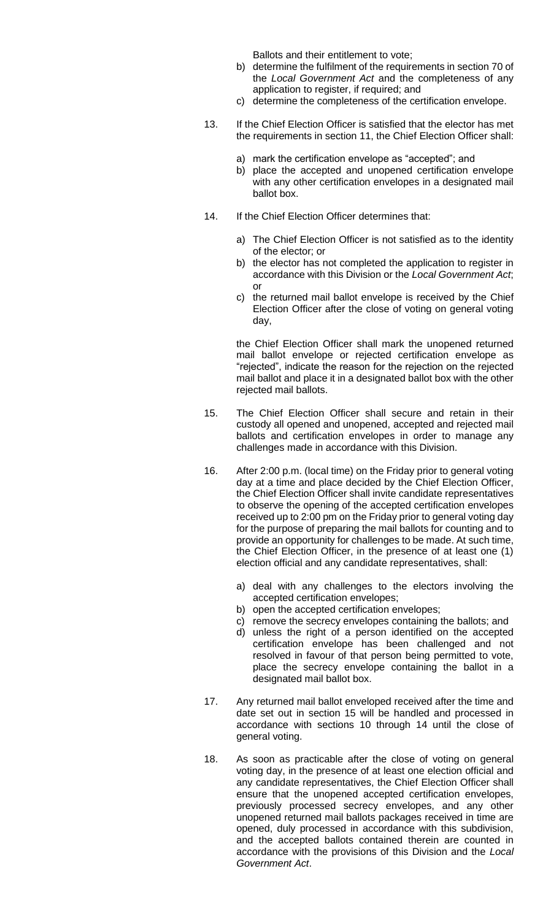Ballots and their entitlement to vote;

- b) determine the fulfilment of the requirements in section 70 of the *Local Government Act* and the completeness of any application to register, if required; and
- c) determine the completeness of the certification envelope.
- 13. If the Chief Election Officer is satisfied that the elector has met the requirements in section 11, the Chief Election Officer shall:
	- a) mark the certification envelope as "accepted"; and
	- b) place the accepted and unopened certification envelope with any other certification envelopes in a designated mail ballot box.
- 14. If the Chief Election Officer determines that:
	- a) The Chief Election Officer is not satisfied as to the identity of the elector; or
	- b) the elector has not completed the application to register in accordance with this Division or the *Local Government Act*; or
	- c) the returned mail ballot envelope is received by the Chief Election Officer after the close of voting on general voting day,

the Chief Election Officer shall mark the unopened returned mail ballot envelope or rejected certification envelope as "rejected", indicate the reason for the rejection on the rejected mail ballot and place it in a designated ballot box with the other rejected mail ballots.

- 15. The Chief Election Officer shall secure and retain in their custody all opened and unopened, accepted and rejected mail ballots and certification envelopes in order to manage any challenges made in accordance with this Division.
- 16. After 2:00 p.m. (local time) on the Friday prior to general voting day at a time and place decided by the Chief Election Officer, the Chief Election Officer shall invite candidate representatives to observe the opening of the accepted certification envelopes received up to 2:00 pm on the Friday prior to general voting day for the purpose of preparing the mail ballots for counting and to provide an opportunity for challenges to be made. At such time, the Chief Election Officer, in the presence of at least one (1) election official and any candidate representatives, shall:
	- a) deal with any challenges to the electors involving the accepted certification envelopes;
	- b) open the accepted certification envelopes;
	- c) remove the secrecy envelopes containing the ballots; and
	- d) unless the right of a person identified on the accepted certification envelope has been challenged and not resolved in favour of that person being permitted to vote, place the secrecy envelope containing the ballot in a designated mail ballot box.
- 17. Any returned mail ballot enveloped received after the time and date set out in section 15 will be handled and processed in accordance with sections 10 through 14 until the close of general voting.
- 18. As soon as practicable after the close of voting on general voting day, in the presence of at least one election official and any candidate representatives, the Chief Election Officer shall ensure that the unopened accepted certification envelopes, previously processed secrecy envelopes, and any other unopened returned mail ballots packages received in time are opened, duly processed in accordance with this subdivision, and the accepted ballots contained therein are counted in accordance with the provisions of this Division and the *Local Government Act*.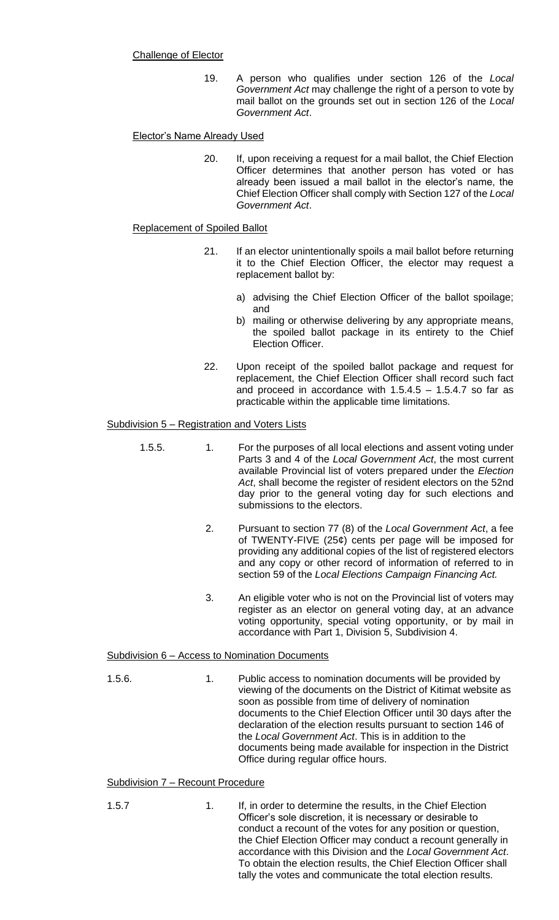## Challenge of Elector

19. A person who qualifies under section 126 of the *Local Government Act* may challenge the right of a person to vote by mail ballot on the grounds set out in section 126 of the *Local Government Act*.

# Elector's Name Already Used

20. If, upon receiving a request for a mail ballot, the Chief Election Officer determines that another person has voted or has already been issued a mail ballot in the elector's name, the Chief Election Officer shall comply with Section 127 of the *Local Government Act*.

### Replacement of Spoiled Ballot

- 21. If an elector unintentionally spoils a mail ballot before returning it to the Chief Election Officer, the elector may request a replacement ballot by:
	- a) advising the Chief Election Officer of the ballot spoilage; and
	- b) mailing or otherwise delivering by any appropriate means, the spoiled ballot package in its entirety to the Chief Election Officer.
- 22. Upon receipt of the spoiled ballot package and request for replacement, the Chief Election Officer shall record such fact and proceed in accordance with  $1.5.4.5 - 1.5.4.7$  so far as practicable within the applicable time limitations.

# Subdivision 5 – Registration and Voters Lists

- 1.5.5. 1. For the purposes of all local elections and assent voting under Parts 3 and 4 of the *Local Government Act*, the most current available Provincial list of voters prepared under the *Election Act*, shall become the register of resident electors on the 52nd day prior to the general voting day for such elections and submissions to the electors.
	- 2. Pursuant to section 77 (8) of the *Local Government Act*, a fee of TWENTY-FIVE (25¢) cents per page will be imposed for providing any additional copies of the list of registered electors and any copy or other record of information of referred to in section 59 of the *Local Elections Campaign Financing Act.*
	- 3. An eligible voter who is not on the Provincial list of voters may register as an elector on general voting day, at an advance voting opportunity, special voting opportunity, or by mail in accordance with Part 1, Division 5, Subdivision 4.

### Subdivision 6 – Access to Nomination Documents

1.5.6. 1. Public access to nomination documents will be provided by viewing of the documents on the District of Kitimat website as soon as possible from time of delivery of nomination documents to the Chief Election Officer until 30 days after the declaration of the election results pursuant to section 146 of the *Local Government Act*. This is in addition to the documents being made available for inspection in the District Office during regular office hours.

### Subdivision 7 – Recount Procedure

- 
- 1.5.7 1. If, in order to determine the results, in the Chief Election Officer's sole discretion, it is necessary or desirable to conduct a recount of the votes for any position or question, the Chief Election Officer may conduct a recount generally in accordance with this Division and the *Local Government Act*. To obtain the election results, the Chief Election Officer shall tally the votes and communicate the total election results.